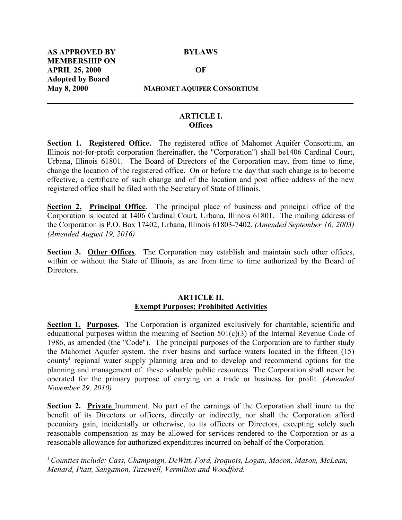**May 8, 2000 MAHOMET AQUIFER CONSORTIUM**

## **ARTICLE I. Offices**

**Section 1. Registered Office.** The registered office of Mahomet Aquifer Consortium, an Illinois not-for-profit corporation (hereinafter, the "Corporation") shall be1406 Cardinal Court, Urbana, Illinois 61801. The Board of Directors of the Corporation may, from time to time, change the location of the registered office. On or before the day that such change is to become effective, a certificate of such change and of the location and post office address of the new registered office shall be filed with the Secretary of State of Illinois.

**Section 2. Principal Office**. The principal place of business and principal office of the Corporation is located at 1406 Cardinal Court, Urbana, Illinois 61801. The mailing address of the Corporation is P.O. Box 17402, Urbana, Illinois 61803-7402. *(Amended September 16, 2003) (Amended August 19, 2016)*

**Section 3. Other Offices**. The Corporation may establish and maintain such other offices, within or without the State of Illinois, as are from time to time authorized by the Board of Directors.

#### **ARTICLE II. Exempt Purposes; Prohibited Activities**

**Section 1. Purposes.** The Corporation is organized exclusively for charitable, scientific and educational purposes within the meaning of Section 501(c)(3) of the Internal Revenue Code of 1986, as amended (the "Code"). The principal purposes of the Corporation are to further study the Mahomet Aquifer system, the river basins and surface waters located in the fifteen (15) county<sup>1</sup> regional water supply planning area and to develop and recommend options for the planning and management of these valuable public resources. The Corporation shall never be operated for the primary purpose of carrying on a trade or business for profit. *(Amended November 29, 2010)*

**Section 2. Private** Inurnment. No part of the earnings of the Corporation shall inure to the benefit of its Directors or officers, directly or indirectly, nor shall the Corporation afford pecuniary gain, incidentally or otherwise, to its officers or Directors, excepting solely such reasonable compensation as may be allowed for services rendered to the Corporation or as a reasonable allowance for authorized expenditures incurred on behalf of the Corporation.

*<sup>1</sup>Counties include: Cass, Champaign, DeWitt, Ford, Iroquois, Logan, Macon, Mason, McLean, Menard, Piatt, Sangamon, Tazewell, Vermilion and Woodford.*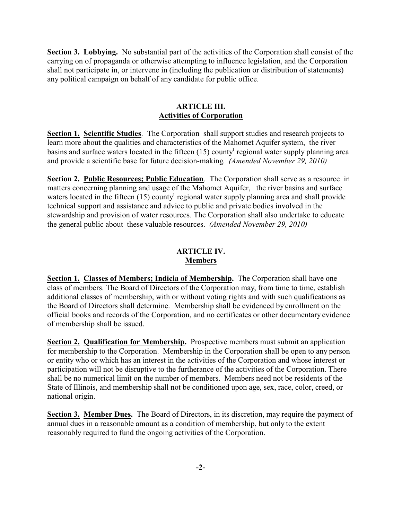**Section 3. Lobbying.** No substantial part of the activities of the Corporation shall consist of the carrying on of propaganda or otherwise attempting to influence legislation, and the Corporation shall not participate in, or intervene in (including the publication or distribution of statements) any political campaign on behalf of any candidate for public office.

## **ARTICLE III. Activities of Corporation**

**Section 1. Scientific Studies**. The Corporation shall support studies and research projects to learn more about the qualities and characteristics of the Mahomet Aquifer system, the river basins and surface waters located in the fifteen (15) county<sup>1</sup> regional water supply planning area and provide a scientific base for future decision-making. *(Amended November 29, 2010)*

**Section 2. Public Resources; Public Education.** The Corporation shall serve as a resource in matters concerning planning and usage of the Mahomet Aquifer, the river basins and surface waters located in the fifteen (15) county<sup>1</sup> regional water supply planning area and shall provide technical support and assistance and advice to public and private bodies involved in the stewardship and provision of water resources. The Corporation shall also undertake to educate the general public about these valuable resources. *(Amended November 29, 2010)*

## **ARTICLE IV. Members**

**Section 1. Classes of Members; Indicia of Membership.** The Corporation shall have one class of members. The Board of Directors of the Corporation may, from time to time, establish additional classes of membership, with or without voting rights and with such qualifications as the Board of Directors shall determine. Membership shall be evidenced by enrollment on the official books and records of the Corporation, and no certificates or other documentary evidence of membership shall be issued.

**Section 2. Qualification for Membership.** Prospective members must submit an application for membership to the Corporation. Membership in the Corporation shall be open to any person or entity who or which has an interest in the activities of the Corporation and whose interest or participation will not be disruptive to the furtherance of the activities of the Corporation. There shall be no numerical limit on the number of members. Members need not be residents of the State of Illinois, and membership shall not be conditioned upon age, sex, race, color, creed, or national origin.

**Section 3. Member Dues.** The Board of Directors, in its discretion, may require the payment of annual dues in a reasonable amount as a condition of membership, but only to the extent reasonably required to fund the ongoing activities of the Corporation.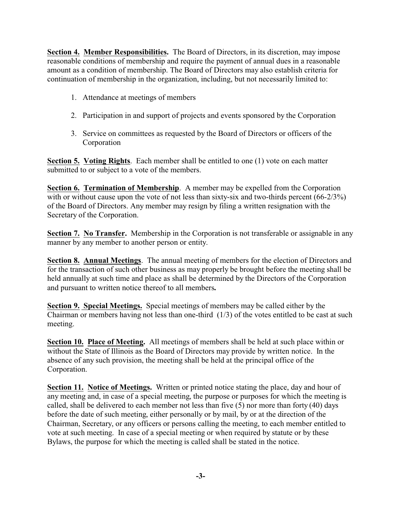**Section 4. Member Responsibilities.** The Board of Directors, in its discretion, may impose reasonable conditions of membership and require the payment of annual dues in a reasonable amount as a condition of membership. The Board of Directors may also establish criteria for continuation of membership in the organization, including, but not necessarily limited to:

- 1. Attendance at meetings of members
- 2. Participation in and support of projects and events sponsored by the Corporation
- 3. Service on committees as requested by the Board of Directors or officers of the Corporation

**Section 5. Voting Rights**. Each member shall be entitled to one (1) vote on each matter submitted to or subject to a vote of the members.

**Section 6. Termination of Membership**. A member may be expelled from the Corporation with or without cause upon the vote of not less than sixty-six and two-thirds percent (66-2/3%) of the Board of Directors. Any member may resign by filing a written resignation with the Secretary of the Corporation.

**Section 7. No Transfer.** Membership in the Corporation is not transferable or assignable in any manner by any member to another person or entity.

**Section 8. Annual Meetings**. The annual meeting of members for the election of Directors and for the transaction of such other business as may properly be brought before the meeting shall be held annually at such time and place as shall be determined by the Directors of the Corporation and pursuant to written notice thereof to all members**.**

**Section 9. Special Meetings.** Special meetings of members may be called either by the Chairman or members having not less than one-third (1/3) of the votes entitled to be cast at such meeting.

**Section 10. Place of Meeting.** All meetings of members shall be held at such place within or without the State of Illinois as the Board of Directors may provide by written notice. In the absence of any such provision, the meeting shall be held at the principal office of the Corporation.

**Section 11. Notice of Meetings.** Written or printed notice stating the place, day and hour of any meeting and, in case of a special meeting, the purpose or purposes for which the meeting is called, shall be delivered to each member not less than five  $(5)$  nor more than forty  $(40)$  days before the date of such meeting, either personally or by mail, by or at the direction of the Chairman, Secretary, or any officers or persons calling the meeting, to each member entitled to vote at such meeting. In case of a special meeting or when required by statute or by these Bylaws, the purpose for which the meeting is called shall be stated in the notice.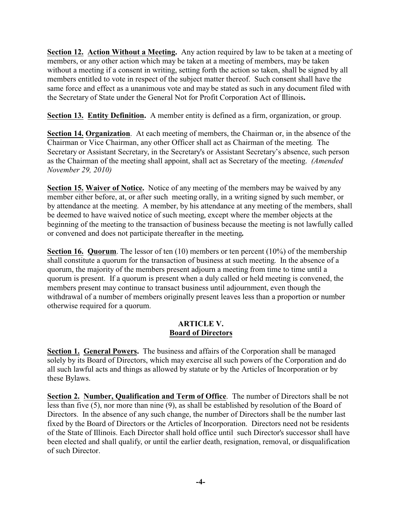**Section 12. Action Without a Meeting.** Any action required by law to be taken at a meeting of members, or any other action which may be taken at a meeting of members, may be taken without a meeting if a consent in writing, setting forth the action so taken, shall be signed by all members entitled to vote in respect of the subject matter thereof. Such consent shall have the same force and effect as a unanimous vote and may be stated as such in any document filed with the Secretary of State under the General Not for Profit Corporation Act of Illinois**.**

**Section 13. Entity Definition.** A member entity is defined as a firm, organization, or group.

**Section 14. Organization**. At each meeting of members, the Chairman or, in the absence of the Chairman or Vice Chairman, any other Officer shall act as Chairman of the meeting. The Secretary or Assistant Secretary, in the Secretary's or Assistant Secretary's absence, such person as the Chairman of the meeting shall appoint, shall act as Secretary of the meeting. *(Amended November 29, 2010)*

**Section 15. Waiver of Notice.** Notice of any meeting of the members may be waived by any member either before, at, or after such meeting orally, in a writing signed by such member, or by attendance at the meeting. A member, by his attendance at any meeting of the members, shall be deemed to have waived notice of such meeting, except where the member objects at the beginning of the meeting to the transaction of business because the meeting is not lawfully called or convened and does not participate thereafter in the meeting**.**

**Section 16. Quorum**. The lessor of ten (10) members or ten percent (10%) of the membership shall constitute a quorum for the transaction of business at such meeting. In the absence of a quorum, the majority of the members present adjourn a meeting from time to time until a quorum is present. If a quorum is present when a duly called or held meeting is convened, the members present may continue to transact business until adjournment, even though the withdrawal of a number of members originally present leaves less than a proportion or number otherwise required for a quorum.

## **ARTICLE V. Board of Directors**

**Section 1. General Powers.** The business and affairs of the Corporation shall be managed solely by its Board of Directors, which may exercise all such powers of the Corporation and do all such lawful acts and things as allowed by statute or by the Articles of Incorporation or by these Bylaws.

**Section 2. Number, Qualification and Term of Office**. The number of Directors shall be not less than five (5), nor more than nine (9), as shall be established by resolution of the Board of Directors. In the absence of any such change, the number of Directors shall be the number last fixed by the Board of Directors or the Articles of Incorporation. Directors need not be residents of the State of Illinois. Each Director shall hold office until such Director's successor shall have been elected and shall qualify, or until the earlier death, resignation, removal, or disqualification of such Director.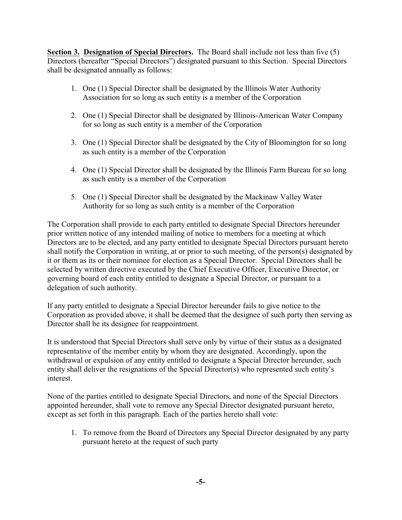**Section 3. Designation of Special Directors.** The Board shall include not less than five (5) Directors (hereafter "Special Directors") designated pursuant to this Section. Special Directors shall be designated annually as follows:

- 1. One (1) Special Director shall be designated by the Illinois Water Authority Association for so long as such entity is a member of the Corporation
- 2. One (1) Special Director shall be designated by Illinois-American Water Company for so long as such entity is a member of the Corporation
- 3. One (1) Special Director shall be designated by the City of Bloomington for so long as such entity is a member of the Corporation
- 4. One (1) Special Director shall be designated by the Illinois Farm Bureau for so long as such entity is a member of the Corporation
- 5. One (1) Special Director shall be designated by the Mackinaw Valley Water Authority for so long as such entity is a member of the Corporation

The Corporation shall provide to each party entitled to designate Special Directors hereunder prior written notice of any intended mailing of notice to members for a meeting at which Directors are to be elected, and any party entitled to designate Special Directors pursuant hereto shall notify the Corporation in writing, at or prior to such meeting, of the person(s) designated by it or them as its or their nominee for election as a Special Director. Special Directors shall be selected by written directive executed by the Chief Executive Officer, Executive Director, or governing board of each entity entitled to designate a Special Director, or pursuant to a delegation of such authority.

If any party entitled to designate a Special Director hereunder fails to give notice to the Corporation as provided above, it shall be deemed that the designee of such party then serving as Director shall be its designee for reappointment.

It is understood that Special Directors shall serve only by virtue of their status as a designated representative of the member entity by whom they are designated. Accordingly, upon the withdrawal or expulsion of any entity entitled to designate a Special Director hereunder, such entity shall deliver the resignations of the Special Director(s) who represented such entity's interest.

None of the parties entitled to designate Special Directors, and none of the Special Directors appointed hereunder, shall vote to remove any Special Director designated pursuant hereto, except as set forth in this paragraph. Each of the parties hereto shall vote:

1. To remove from the Board of Directors any Special Director designated by any party pursuant hereto at the request of such party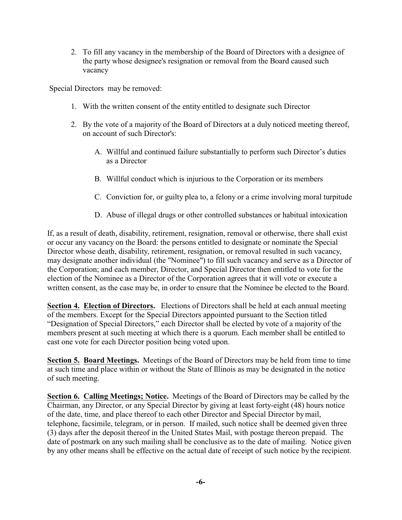2. To fill any vacancy in the membership of the Board of Directors with a designee of the party whose designee's resignation or removal from the Board caused such vacancy

Special Directors may be removed:

- 1. With the written consent of the entity entitled to designate such Director
- 2. By the vote of a majority of the Board of Directors at a duly noticed meeting thereof, on account of such Director's:
	- A. Willful and continued failure substantially to perform such Director's duties as a Director
	- B. Willful conduct which is injurious to the Corporation or its members
	- C. Conviction for, or guilty plea to, a felony or a crime involving moral turpitude
	- D. Abuse of illegal drugs or other controlled substances or habitual intoxication

If, as a result of death, disability, retirement, resignation, removal or otherwise, there shall exist or occur any vacancy on the Board: the persons entitled to designate or nominate the Special Director whose death, disability, retirement, resignation, or removal resulted in such vacancy, may designate another individual (the "Nominee") to fill such vacancy and serve as a Director of the Corporation; and each member, Director, and Special Director then entitled to vote for the election of the Nominee as a Director of the Corporation agrees that it will vote or execute a written consent, as the case may be, in order to ensure that the Nominee be elected to the Board.

**Section 4. Election of Directors.** Elections of Directors shall be held at each annual meeting of the members. Except for the Special Directors appointed pursuant to the Section titled "Designation of Special Directors," each Director shall be elected by vote of a majority of the members present at such meeting at which there is a quorum. Each member shall be entitled to cast one vote for each Director position being voted upon.

**Section 5. Board Meetings.** Meetings of the Board of Directors may be held from time to time at such time and place within or without the State of Illinois as may be designated in the notice of such meeting.

**Section 6. Calling Meetings; Notice.** Meetings of the Board of Directors may be called by the Chairman, any Director, or any Special Director by giving at least forty-eight (48) hours notice of the date, time, and place thereof to each other Director and Special Director by mail, telephone, facsimile, telegram, or in person. If mailed, such notice shall be deemed given three (3) days after the deposit thereof in the United States Mail, with postage thereon prepaid. The date of postmark on any such mailing shall be conclusive as to the date of mailing. Notice given by any other means shall be effective on the actual date of receipt of such notice by the recipient.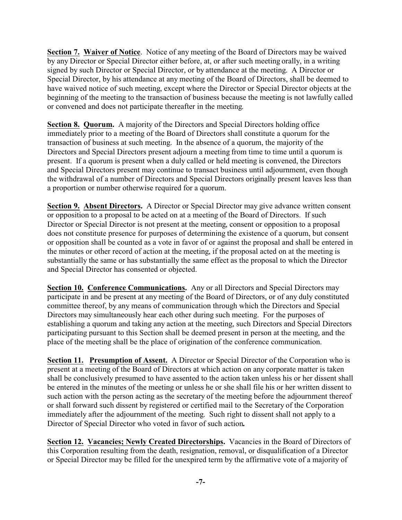Section 7. Waiver of Notice. Notice of any meeting of the Board of Directors may be waived by any Director or Special Director either before, at, or after such meeting orally, in a writing signed by such Director or Special Director, or by attendance at the meeting. A Director or Special Director, by his attendance at any meeting of the Board of Directors, shall be deemed to have waived notice of such meeting, except where the Director or Special Director objects at the beginning of the meeting to the transaction of business because the meeting is not lawfully called or convened and does not participate thereafter in the meeting.

**Section 8. Quorum.** A majority of the Directors and Special Directors holding office immediately prior to a meeting of the Board of Directors shall constitute a quorum for the transaction of business at such meeting. In the absence of a quorum, the majority of the Directors and Special Directors present adjourn a meeting from time to time until a quorum is present. If a quorum is present when a duly called or held meeting is convened, the Directors and Special Directors present may continue to transact business until adjournment, even though the withdrawal of a number of Directors and Special Directors originally present leaves less than a proportion or number otherwise required for a quorum.

**Section 9. Absent Directors.** A Director or Special Director may give advance written consent or opposition to a proposal to be acted on at a meeting of the Board of Directors. If such Director or Special Director is not present at the meeting, consent or opposition to a proposal does not constitute presence for purposes of determining the existence of a quorum, but consent or opposition shall be counted as a vote in favor of or against the proposal and shall be entered in the minutes or other record of action at the meeting, if the proposal acted on at the meeting is substantially the same or has substantially the same effect as the proposal to which the Director and Special Director has consented or objected.

**Section 10. Conference Communications.** Any or all Directors and Special Directors may participate in and be present at any meeting of the Board of Directors, or of any duly constituted committee thereof, by any means of communication through which the Directors and Special Directors may simultaneously hear each other during such meeting. For the purposes of establishing a quorum and taking any action at the meeting, such Directors and Special Directors participating pursuant to this Section shall be deemed present in person at the meeting, and the place of the meeting shall be the place of origination of the conference communication.

**Section 11. Presumption of Assent.** A Director or Special Director of the Corporation who is present at a meeting of the Board of Directors at which action on any corporate matter is taken shall be conclusively presumed to have assented to the action taken unless his or her dissent shall be entered in the minutes of the meeting or unless he or she shall file his or her written dissent to such action with the person acting as the secretary of the meeting before the adjournment thereof or shall forward such dissent by registered or certified mail to the Secretary of the Corporation immediately after the adjournment of the meeting. Such right to dissent shall not apply to a Director of Special Director who voted in favor of such action**.**

**Section 12. Vacancies; Newly Created Directorships.** Vacancies in the Board of Directors of this Corporation resulting from the death, resignation, removal, or disqualification of a Director or Special Director may be filled for the unexpired term by the affirmative vote of a majority of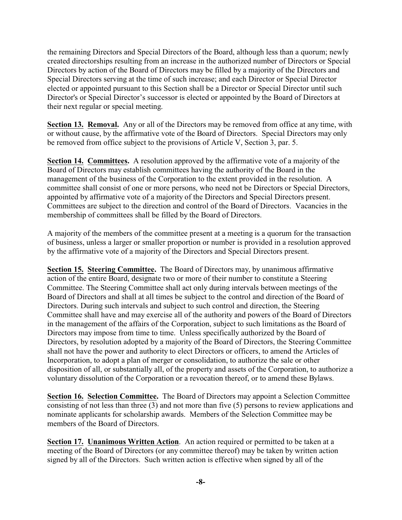the remaining Directors and Special Directors of the Board, although less than a quorum; newly created directorships resulting from an increase in the authorized number of Directors or Special Directors by action of the Board of Directors may be filled by a majority of the Directors and Special Directors serving at the time of such increase; and each Director or Special Director elected or appointed pursuant to this Section shall be a Director or Special Director until such Director's or Special Director's successor is elected or appointed by the Board of Directors at their next regular or special meeting.

**Section 13. Removal.** Any or all of the Directors may be removed from office at any time, with or without cause, by the affirmative vote of the Board of Directors. Special Directors may only be removed from office subject to the provisions of Article V, Section 3, par. 5.

**Section 14. Committees.** A resolution approved by the affirmative vote of a majority of the Board of Directors may establish committees having the authority of the Board in the management of the business of the Corporation to the extent provided in the resolution. A committee shall consist of one or more persons, who need not be Directors or Special Directors, appointed by affirmative vote of a majority of the Directors and Special Directors present. Committees are subject to the direction and control of the Board of Directors. Vacancies in the membership of committees shall be filled by the Board of Directors.

A majority of the members of the committee present at a meeting is a quorum for the transaction of business, unless a larger or smaller proportion or number is provided in a resolution approved by the affirmative vote of a majority of the Directors and Special Directors present.

**Section 15. Steering Committee.** The Board of Directors may, by unanimous affirmative action of the entire Board, designate two or more of their number to constitute a Steering Committee. The Steering Committee shall act only during intervals between meetings of the Board of Directors and shall at all times be subject to the control and direction of the Board of Directors. During such intervals and subject to such control and direction, the Steering Committee shall have and may exercise all of the authority and powers of the Board of Directors in the management of the affairs of the Corporation, subject to such limitations as the Board of Directors may impose from time to time. Unless specifically authorized by the Board of Directors, by resolution adopted by a majority of the Board of Directors, the Steering Committee shall not have the power and authority to elect Directors or officers, to amend the Articles of Incorporation, to adopt a plan of merger or consolidation, to authorize the sale or other disposition of all, or substantially all, of the property and assets of the Corporation, to authorize a voluntary dissolution of the Corporation or a revocation thereof, or to amend these Bylaws.

**Section 16. Selection Committee.** The Board of Directors may appoint a Selection Committee consisting of not less than three (3) and not more than five (5) persons to review applications and nominate applicants for scholarship awards. Members of the Selection Committee may be members of the Board of Directors.

**Section 17. Unanimous Written Action**. An action required or permitted to be taken at a meeting of the Board of Directors (or any committee thereof) may be taken by written action signed by all of the Directors. Such written action is effective when signed by all of the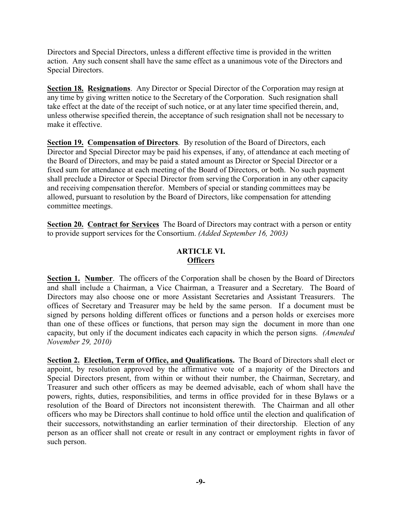Directors and Special Directors, unless a different effective time is provided in the written action. Any such consent shall have the same effect as a unanimous vote of the Directors and Special Directors.

**Section 18. Resignations**. Any Director or Special Director of the Corporation may resign at any time by giving written notice to the Secretary of the Corporation. Such resignation shall take effect at the date of the receipt of such notice, or at any later time specified therein, and, unless otherwise specified therein, the acceptance of such resignation shall not be necessary to make it effective.

**Section 19. Compensation of Directors**. By resolution of the Board of Directors, each Director and Special Director may be paid his expenses, if any, of attendance at each meeting of the Board of Directors, and may be paid a stated amount as Director or Special Director or a fixed sum for attendance at each meeting of the Board of Directors, or both. No such payment shall preclude a Director or Special Director from serving the Corporation in any other capacity and receiving compensation therefor. Members of special or standing committees may be allowed, pursuant to resolution by the Board of Directors, like compensation for attending committee meetings.

**Section 20. Contract for Services** The Board of Directors may contract with a person or entity to provide support services for the Consortium. *(Added September 16, 2003)*

# **ARTICLE VI. Officers**

**Section 1. Number.** The officers of the Corporation shall be chosen by the Board of Directors and shall include a Chairman, a Vice Chairman, a Treasurer and a Secretary. The Board of Directors may also choose one or more Assistant Secretaries and Assistant Treasurers. The offices of Secretary and Treasurer may be held by the same person. If a document must be signed by persons holding different offices or functions and a person holds or exercises more than one of these offices or functions, that person may sign the document in more than one capacity, but only if the document indicates each capacity in which the person signs. *(Amended November 29, 2010)*

**Section 2. Election, Term of Office, and Qualifications.** The Board of Directors shall elect or appoint, by resolution approved by the affirmative vote of a majority of the Directors and Special Directors present, from within or without their number, the Chairman, Secretary, and Treasurer and such other officers as may be deemed advisable, each of whom shall have the powers, rights, duties, responsibilities, and terms in office provided for in these Bylaws or a resolution of the Board of Directors not inconsistent therewith. The Chairman and all other officers who may be Directors shall continue to hold office until the election and qualification of their successors, notwithstanding an earlier termination of their directorship. Election of any person as an officer shall not create or result in any contract or employment rights in favor of such person.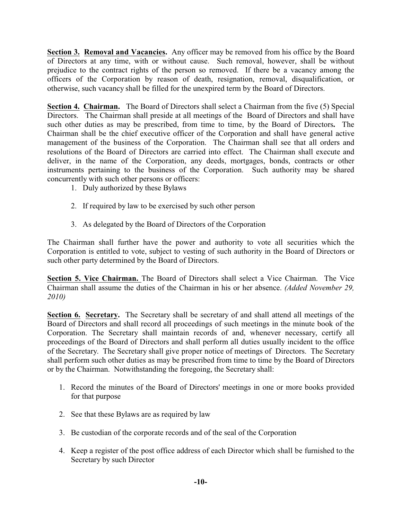**Section 3. Removal and Vacancies.** Any officer may be removed from his office by the Board of Directors at any time, with or without cause. Such removal, however, shall be without prejudice to the contract rights of the person so removed. If there be a vacancy among the officers of the Corporation by reason of death, resignation, removal, disqualification, or otherwise, such vacancy shall be filled for the unexpired term by the Board of Directors.

**Section 4. Chairman.** The Board of Directors shall select a Chairman from the five (5) Special Directors. The Chairman shall preside at all meetings of the Board of Directors and shall have such other duties as may be prescribed, from time to time, by the Board of Directors**.** The Chairman shall be the chief executive officer of the Corporation and shall have general active management of the business of the Corporation. The Chairman shall see that all orders and resolutions of the Board of Directors are carried into effect. The Chairman shall execute and deliver, in the name of the Corporation, any deeds, mortgages, bonds, contracts or other instruments pertaining to the business of the Corporation. Such authority may be shared concurrently with such other persons or officers:

- 1. Duly authorized by these Bylaws
- 2. If required by law to be exercised by such other person
- 3. As delegated by the Board of Directors of the Corporation

The Chairman shall further have the power and authority to vote all securities which the Corporation is entitled to vote, subject to vesting of such authority in the Board of Directors or such other party determined by the Board of Directors.

**Section 5. Vice Chairman.** The Board of Directors shall select a Vice Chairman. The Vice Chairman shall assume the duties of the Chairman in his or her absence. *(Added November 29, 2010)*

**Section 6. Secretary.** The Secretary shall be secretary of and shall attend all meetings of the Board of Directors and shall record all proceedings of such meetings in the minute book of the Corporation. The Secretary shall maintain records of and, whenever necessary, certify all proceedings of the Board of Directors and shall perform all duties usually incident to the office of the Secretary. The Secretary shall give proper notice of meetings of Directors. The Secretary shall perform such other duties as may be prescribed from time to time by the Board of Directors or by the Chairman. Notwithstanding the foregoing, the Secretary shall:

- 1. Record the minutes of the Board of Directors' meetings in one or more books provided for that purpose
- 2. See that these Bylaws are as required by law
- 3. Be custodian of the corporate records and of the seal of the Corporation
- 4. Keep a register of the post office address of each Director which shall be furnished to the Secretary by such Director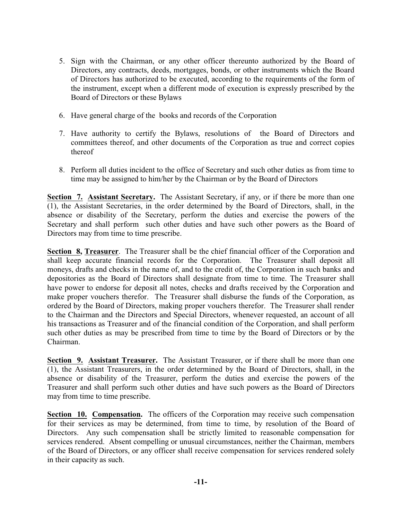- 5. Sign with the Chairman, or any other officer thereunto authorized by the Board of Directors, any contracts, deeds, mortgages, bonds, or other instruments which the Board of Directors has authorized to be executed, according to the requirements of the form of the instrument, except when a different mode of execution is expressly prescribed by the Board of Directors or these Bylaws
- 6. Have general charge of the books and records of the Corporation
- 7. Have authority to certify the Bylaws, resolutions of the Board of Directors and committees thereof, and other documents of the Corporation as true and correct copies thereof
- 8. Perform all duties incident to the office of Secretary and such other duties as from time to time may be assigned to him/her by the Chairman or by the Board of Directors

**Section 7. Assistant Secretary.** The Assistant Secretary, if any, or if there be more than one (1), the Assistant Secretaries, in the order determined by the Board of Directors, shall, in the absence or disability of the Secretary, perform the duties and exercise the powers of the Secretary and shall perform such other duties and have such other powers as the Board of Directors may from time to time prescribe.

**Section 8, Treasurer**. The Treasurer shall be the chief financial officer of the Corporation and shall keep accurate financial records for the Corporation. The Treasurer shall deposit all moneys, drafts and checks in the name of, and to the credit of, the Corporation in such banks and depositories as the Board of Directors shall designate from time to time. The Treasurer shall have power to endorse for deposit all notes, checks and drafts received by the Corporation and make proper vouchers therefor. The Treasurer shall disburse the funds of the Corporation, as ordered by the Board of Directors, making proper vouchers therefor. The Treasurer shall render to the Chairman and the Directors and Special Directors, whenever requested, an account of all his transactions as Treasurer and of the financial condition of the Corporation, and shall perform such other duties as may be prescribed from time to time by the Board of Directors or by the Chairman.

**Section 9. Assistant Treasurer.** The Assistant Treasurer, or if there shall be more than one (1), the Assistant Treasurers, in the order determined by the Board of Directors, shall, in the absence or disability of the Treasurer, perform the duties and exercise the powers of the Treasurer and shall perform such other duties and have such powers as the Board of Directors may from time to time prescribe.

**Section 10. Compensation.** The officers of the Corporation may receive such compensation for their services as may be determined, from time to time, by resolution of the Board of Directors. Any such compensation shall be strictly limited to reasonable compensation for services rendered. Absent compelling or unusual circumstances, neither the Chairman, members of the Board of Directors, or any officer shall receive compensation for services rendered solely in their capacity as such.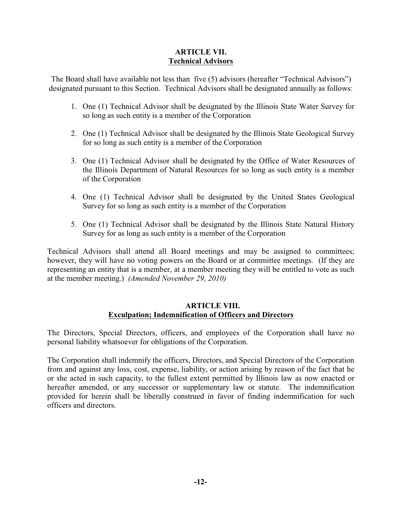## **ARTICLE VII. Technical Advisors**

The Board shall have available not less than five (5) advisors (hereafter "Technical Advisors") designated pursuant to this Section. Technical Advisors shall be designated annually as follows:

- 1. One (1) Technical Advisor shall be designated by the Illinois State Water Survey for so long as such entity is a member of the Corporation
- 2. One (1) Technical Advisor shall be designated by the Illinois State Geological Survey for so long as such entity is a member of the Corporation
- 3. One (1) Technical Advisor shall be designated by the Office of Water Resources of the Illinois Department of Natural Resources for so long as such entity is a member of the Corporation
- 4. One (1) Technical Advisor shall be designated by the United States Geological Survey for so long as such entity is a member of the Corporation
- 5. One (1) Technical Advisor shall be designated by the Illinois State Natural History Survey for as long as such entity is a member of the Corporation

Technical Advisors shall attend all Board meetings and may be assigned to committees; however, they will have no voting powers on the Board or at committee meetings. (If they are representing an entity that is a member, at a member meeting they will be entitled to vote as such at the member meeting.) *(Amended November 29, 2010)*

## **ARTICLE VIII. Exculpation; Indemnification of Officers and Directors**

The Directors, Special Directors, officers, and employees of the Corporation shall have no personal liability whatsoever for obligations of the Corporation.

The Corporation shall indemnify the officers, Directors, and Special Directors of the Corporation from and against any loss, cost, expense, liability, or action arising by reason of the fact that he or she acted in such capacity, to the fullest extent permitted by Illinois law as now enacted or hereafter amended, or any successor or supplementary law or statute. The indemnification provided for herein shall be liberally construed in favor of finding indemnification for such officers and directors.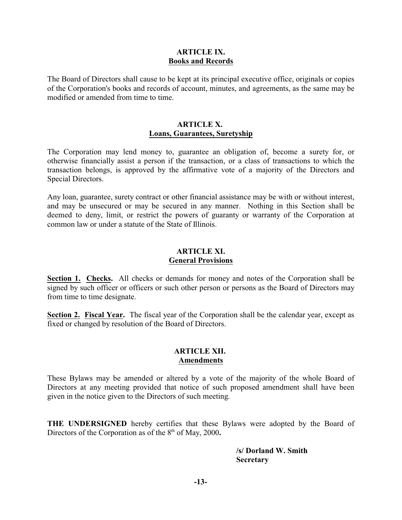#### **ARTICLE IX. Books and Records**

The Board of Directors shall cause to be kept at its principal executive office, originals or copies of the Corporation's books and records of account, minutes, and agreements, as the same may be modified or amended from time to time.

#### **ARTICLE X. Loans, Guarantees, Suretyship**

The Corporation may lend money to, guarantee an obligation of, become a surety for, or otherwise financially assist a person if the transaction, or a class of transactions to which the transaction belongs, is approved by the affirmative vote of a majority of the Directors and Special Directors.

Any loan, guarantee, surety contract or other financial assistance may be with or without interest, and may be unsecured or may be secured in any manner. Nothing in this Section shall be deemed to deny, limit, or restrict the powers of guaranty or warranty of the Corporation at common law or under a statute of the State of Illinois.

#### **ARTICLE XI. General Provisions**

**Section 1. Checks.** All checks or demands for money and notes of the Corporation shall be signed by such officer or officers or such other person or persons as the Board of Directors may from time to time designate.

**Section 2. Fiscal Year.** The fiscal year of the Corporation shall be the calendar year, except as fixed or changed by resolution of the Board of Directors.

#### **ARTICLE XII. Amendments**

These Bylaws may be amended or altered by a vote of the majority of the whole Board of Directors at any meeting provided that notice of such proposed amendment shall have been given in the notice given to the Directors of such meeting.

**THE UNDERSIGNED** hereby certifies that these Bylaws were adopted by the Board of Directors of the Corporation as of the 8<sup>th</sup> of May, 2000.

> **/s/ Dorland W. Smith Secretary**